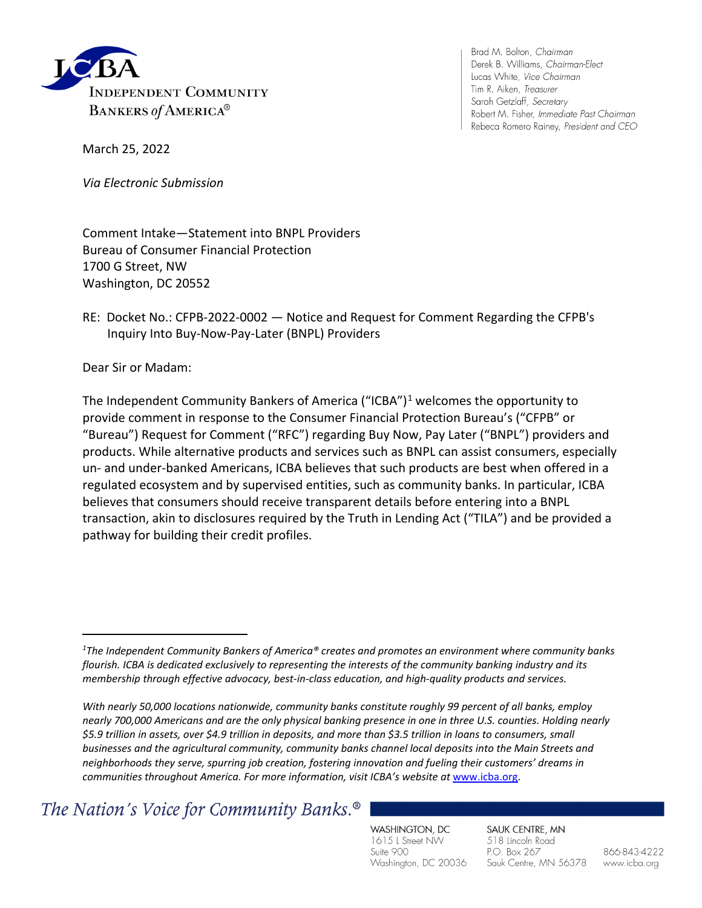

Brad M. Bolton, Chairman Derek B. Williams, Chairman-Elect Lucas White, Vice Chairman Tim R. Aiken, Treasurer Sarah Getzlaff, Secretary Robert M. Fisher, Immediate Past Chairman Rebeca Romero Rainey, President and CEO

March 25, 2022

*Via Electronic Submission*

Comment Intake—Statement into BNPL Providers Bureau of Consumer Financial Protection 1700 G Street, NW Washington, DC 20552

## RE: Docket No.: CFPB-2022-0002 — Notice and Request for Comment Regarding the CFPB's Inquiry Into Buy-Now-Pay-Later (BNPL) Providers

Dear Sir or Madam:

The Independent Community Bankers of America ("ICBA")<sup>[1](#page-0-0)</sup> welcomes the opportunity to provide comment in response to the Consumer Financial Protection Bureau's ("CFPB" or "Bureau") Request for Comment ("RFC") regarding Buy Now, Pay Later ("BNPL") providers and products. While alternative products and services such as BNPL can assist consumers, especially un- and under-banked Americans, ICBA believes that such products are best when offered in a regulated ecosystem and by supervised entities, such as community banks. In particular, ICBA believes that consumers should receive transparent details before entering into a BNPL transaction, akin to disclosures required by the Truth in Lending Act ("TILA") and be provided a pathway for building their credit profiles.

The Nation's Voice for Community Banks.<sup>®</sup>

WASHINGTON, DC 1615 L Street NW Suite 900 Washington, DC 20036

SAUK CENTRE, MN 518 Lincoln Road P.O. Box 267 Sauk Centre, MN 56378

866-843-4222 www.icba.org

<span id="page-0-0"></span>*<sup>1</sup> The Independent Community Bankers of America® creates and promotes an environment where community banks flourish. ICBA is dedicated exclusively to representing the interests of the community banking industry and its membership through effective advocacy, best-in-class education, and high-quality products and services.*

*With nearly 50,000 locations nationwide, community banks constitute roughly 99 percent of all banks, employ nearly 700,000 Americans and are the only physical banking presence in one in three U.S. counties. Holding nearly \$5.9 trillion in assets, over \$4.9 trillion in deposits, and more than \$3.5 trillion in loans to consumers, small businesses and the agricultural community, community banks channel local deposits into the Main Streets and neighborhoods they serve, spurring job creation, fostering innovation and fueling their customers' dreams in communities throughout America. For more information, visit ICBA's website at* [www.icba.org.](https://nam04.safelinks.protection.outlook.com/?url=http%3A%2F%2Fwww.icba.org%2F&data=04%7C01%7Ckaren.rainey%40icba.org%7Caad740475e724be767a508d9ba87ce65%7C3747d660735d42638188bb679df6d3c0%7C0%7C0%7C637745914717071459%7CUnknown%7CTWFpbGZsb3d8eyJWIjoiMC4wLjAwMDAiLCJQIjoiV2luMzIiLCJBTiI6Ik1haWwiLCJXVCI6Mn0%3D%7C3000&sdata=J8zt3QsdC9bwgSk3rj1Da8qnbeycM4EUOx9m0ZX0Lho%3D&reserved=0)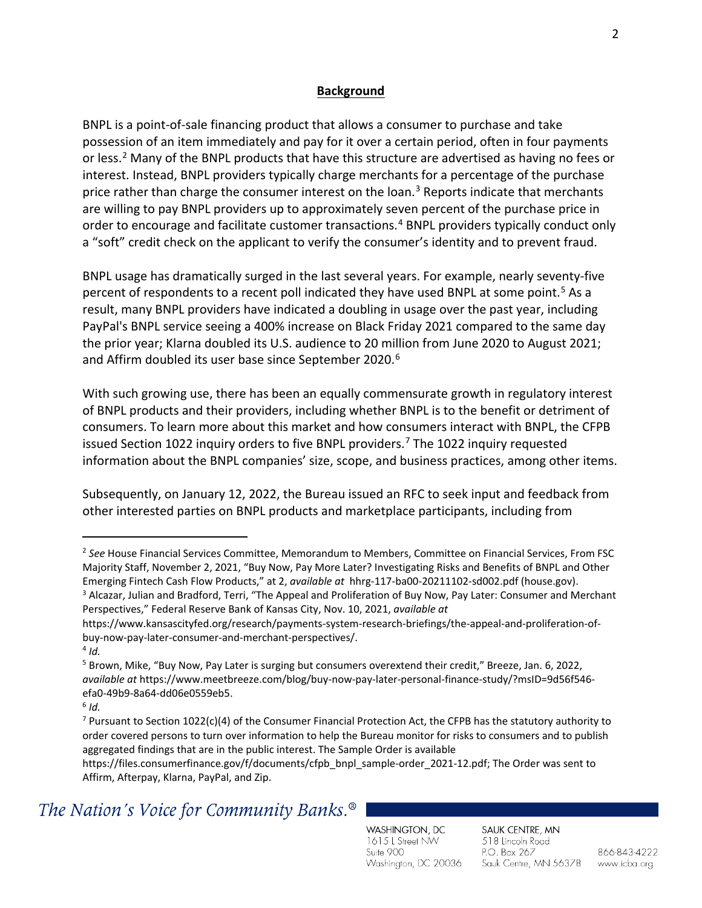### **Background**

BNPL is a point-of-sale financing product that allows a consumer to purchase and take possession of an item immediately and pay for it over a certain period, often in four payments or less.<sup>[2](#page-1-0)</sup> Many of the BNPL products that have this structure are advertised as having no fees or interest. Instead, BNPL providers typically charge merchants for a percentage of the purchase price rather than charge the consumer interest on the loan.<sup>[3](#page-1-1)</sup> Reports indicate that merchants are willing to pay BNPL providers up to approximately seven percent of the purchase price in order to encourage and facilitate customer transactions.<sup>[4](#page-1-2)</sup> BNPL providers typically conduct only a "soft" credit check on the applicant to verify the consumer's identity and to prevent fraud.

BNPL usage has dramatically surged in the last several years. For example, nearly seventy-five percent of respondents to a recent poll indicated they have used BNPL at some point.<sup>[5](#page-1-3)</sup> As a result, many BNPL providers have indicated a doubling in usage over the past year, including PayPal's BNPL service seeing a 400% increase on Black Friday 2021 compared to the same day the prior year; Klarna doubled its U.S. audience to 20 million from June 2020 to August 2021; and Affirm doubled its user base since September 2020. [6](#page-1-4)

With such growing use, there has been an equally commensurate growth in regulatory interest of BNPL products and their providers, including whether BNPL is to the benefit or detriment of consumers. To learn more about this market and how consumers interact with BNPL, the CFPB issued Section 1022 inquiry orders to five BNPL providers.<sup>[7](#page-1-5)</sup> The 1022 inquiry requested information about the BNPL companies' size, scope, and business practices, among other items.

Subsequently, on January 12, 2022, the Bureau issued an RFC to seek input and feedback from other interested parties on BNPL products and marketplace participants, including from

<span id="page-1-0"></span><sup>2</sup> *See* House Financial Services Committee, Memorandum to Members, Committee on Financial Services, From FSC Majority Staff, November 2, 2021, "Buy Now, Pay More Later? Investigating Risks and Benefits of BNPL and Other Emerging Fintech Cash Flow Products," at 2, *available at* hhrg-117-ba00-20211102-sd002.pdf (house.gov). 3 <sup>3</sup> Alcazar, Julian and Bradford, Terri, "The Appeal and Proliferation of Buy Now, Pay Later: Consumer and Merchant

<span id="page-1-1"></span>Perspectives," Federal Reserve Bank of Kansas City, Nov. 10, 2021, *available at* 

https://www.kansascityfed.org/research/payments-system-research-briefings/the-appeal-and-proliferation-ofbuy-now-pay-later-consumer-and-merchant-perspectives/. 4 *Id.*

<span id="page-1-3"></span><span id="page-1-2"></span><sup>&</sup>lt;sup>5</sup> Brown, Mike, "Buy Now, Pay Later is surging but consumers overextend their credit," Breeze, Jan. 6, 2022, *available at* https://www.meetbreeze.com/blog/buy-now-pay-later-personal-finance-study/?msID=9d56f546 efa0-49b9-8a64-dd06e0559eb5. 6 *Id.*

<span id="page-1-4"></span>

<span id="page-1-5"></span><sup>&</sup>lt;sup>7</sup> Pursuant to Section 1022(c)(4) of the Consumer Financial Protection Act, the CFPB has the statutory authority to order covered persons to turn over information to help the Bureau monitor for risks to consumers and to publish aggregated findings that are in the public interest. The Sample Order is available

https://files.consumerfinance.gov/f/documents/cfpb\_bnpl\_sample-order\_2021-12.pdf; The Order was sent to Affirm, Afterpay, Klarna, PayPal, and Zip.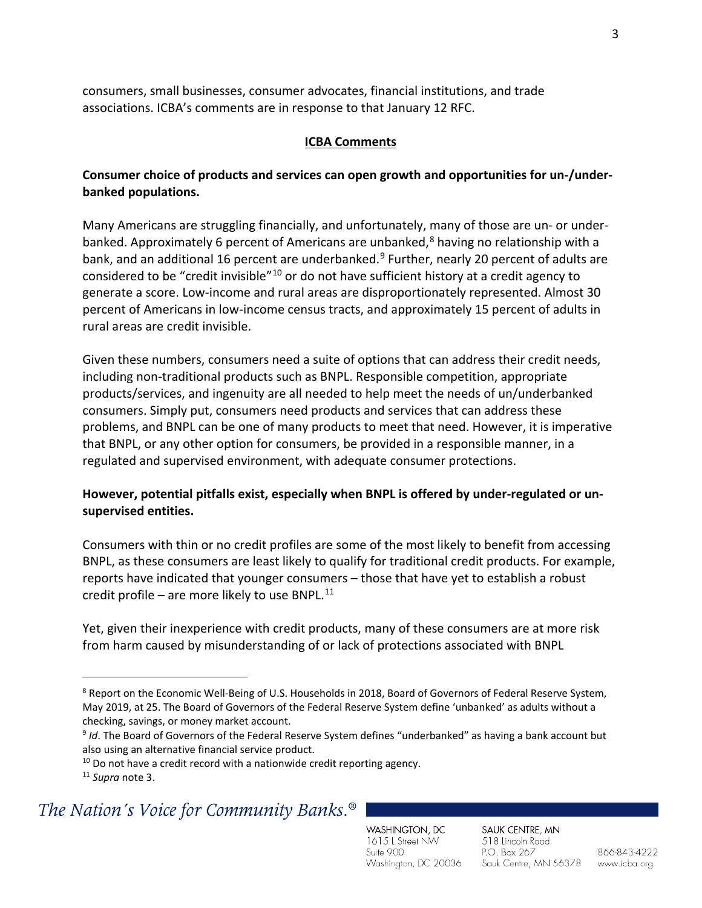consumers, small businesses, consumer advocates, financial institutions, and trade associations. ICBA's comments are in response to that January 12 RFC.

#### **ICBA Comments**

## **Consumer choice of products and services can open growth and opportunities for un-/underbanked populations.**

Many Americans are struggling financially, and unfortunately, many of those are un- or underbanked. Approximately 6 percent of Americans are unbanked, $8$  having no relationship with a bank, and an additional 16 percent are underbanked.<sup>[9](#page-2-1)</sup> Further, nearly 20 percent of adults are considered to be "credit invisible"[10](#page-2-2) or do not have sufficient history at a credit agency to generate a score. Low-income and rural areas are disproportionately represented. Almost 30 percent of Americans in low-income census tracts, and approximately 15 percent of adults in rural areas are credit invisible.

Given these numbers, consumers need a suite of options that can address their credit needs, including non-traditional products such as BNPL. Responsible competition, appropriate products/services, and ingenuity are all needed to help meet the needs of un/underbanked consumers. Simply put, consumers need products and services that can address these problems, and BNPL can be one of many products to meet that need. However, it is imperative that BNPL, or any other option for consumers, be provided in a responsible manner, in a regulated and supervised environment, with adequate consumer protections.

## **However, potential pitfalls exist, especially when BNPL is offered by under-regulated or unsupervised entities.**

Consumers with thin or no credit profiles are some of the most likely to benefit from accessing BNPL, as these consumers are least likely to qualify for traditional credit products. For example, reports have indicated that younger consumers – those that have yet to establish a robust credit profile – are more likely to use BNPL. $^{11}$  $^{11}$  $^{11}$ 

Yet, given their inexperience with credit products, many of these consumers are at more risk from harm caused by misunderstanding of or lack of protections associated with BNPL

## <span id="page-2-3"></span><span id="page-2-2"></span><span id="page-2-1"></span>The Nation's Voice for Community Banks.<sup>®</sup>

WASHINGTON, DC 1615 L Street NW Suite 900 Washington, DC 20036

SAUK CENTRE, MN 518 Lincoln Road P.O. Box 267 Sauk Centre, MN 56378

<span id="page-2-0"></span><sup>&</sup>lt;sup>8</sup> Report on the Economic Well-Being of U.S. Households in 2018, Board of Governors of Federal Reserve System, May 2019, at 25. The Board of Governors of the Federal Reserve System define 'unbanked' as adults without a checking, savings, or money market account.

<sup>9</sup> *Id*. The Board of Governors of the Federal Reserve System defines "underbanked" as having a bank account but also using an alternative financial service product.

 $10$  Do not have a credit record with a nationwide credit reporting agency.

<sup>11</sup> *Supra* note 3.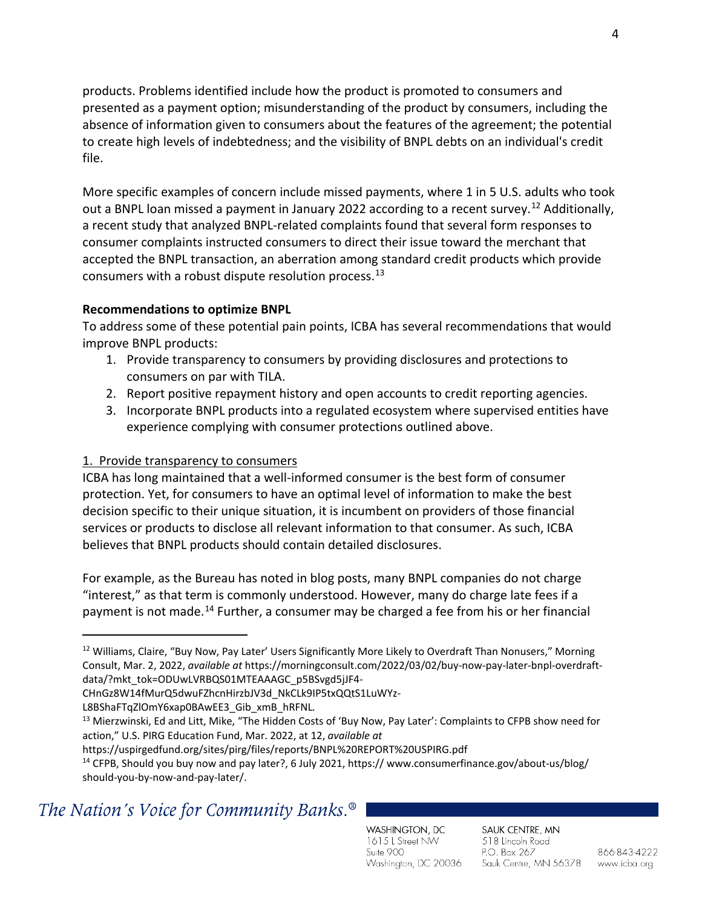products. Problems identified include how the product is promoted to consumers and presented as a payment option; misunderstanding of the product by consumers, including the absence of information given to consumers about the features of the agreement; the potential to create high levels of indebtedness; and the visibility of BNPL debts on an individual's credit file.

More specific examples of concern include missed payments, where 1 in 5 U.S. adults who took out a BNPL loan missed a payment in January 2022 according to a recent survey.<sup>[12](#page-3-0)</sup> Additionally, a recent study that analyzed BNPL-related complaints found that several form responses to consumer complaints instructed consumers to direct their issue toward the merchant that accepted the BNPL transaction, an aberration among standard credit products which provide consumers with a robust dispute resolution process.[13](#page-3-1) 

## **Recommendations to optimize BNPL**

To address some of these potential pain points, ICBA has several recommendations that would improve BNPL products:

- 1. Provide transparency to consumers by providing disclosures and protections to consumers on par with TILA.
- 2. Report positive repayment history and open accounts to credit reporting agencies.
- 3. Incorporate BNPL products into a regulated ecosystem where supervised entities have experience complying with consumer protections outlined above.

## 1. Provide transparency to consumers

ICBA has long maintained that a well-informed consumer is the best form of consumer protection. Yet, for consumers to have an optimal level of information to make the best decision specific to their unique situation, it is incumbent on providers of those financial services or products to disclose all relevant information to that consumer. As such, ICBA believes that BNPL products should contain detailed disclosures.

For example, as the Bureau has noted in blog posts, many BNPL companies do not charge "interest," as that term is commonly understood. However, many do charge late fees if a payment is not made.[14](#page-3-2) Further, a consumer may be charged a fee from his or her financial

L8BShaFTqZlOmY6xap0BAwEE3\_Gib\_xmB\_hRFNL*.*

# <span id="page-3-2"></span>The Nation's Voice for Community Banks.<sup>®</sup>

WASHINGTON, DC 1615 L Street NW Suite 900 Washington, DC 20036

SAUK CENTRE, MN 518 Lincoln Road P.O. Box 267 Sauk Centre, MN 56378

<span id="page-3-0"></span><sup>&</sup>lt;sup>12</sup> Williams, Claire, "Buy Now, Pay Later' Users Significantly More Likely to Overdraft Than Nonusers," Morning Consult, Mar. 2, 2022, *available at* https://morningconsult.com/2022/03/02/buy-now-pay-later-bnpl-overdraftdata/?mkt\_tok=ODUwLVRBQS01MTEAAAGC\_p5BSvgd5jJF4-

CHnGz8W14fMurQ5dwuFZhcnHirzbJV3d\_NkCLk9IP5txQQtS1LuWYz-

<span id="page-3-1"></span><sup>13</sup> Mierzwinski, Ed and Litt, Mike, "The Hidden Costs of 'Buy Now, Pay Later': Complaints to CFPB show need for action," U.S. PIRG Education Fund, Mar. 2022, at 12, *available at* 

https://uspirgedfund.org/sites/pirg/files/reports/BNPL%20REPORT%20USPIRG.pdf

<sup>&</sup>lt;sup>14</sup> CFPB, Should you buy now and pay later?, 6 July 2021, https:// www.consumerfinance.gov/about-us/blog/ should-you-by-now-and-pay-later/.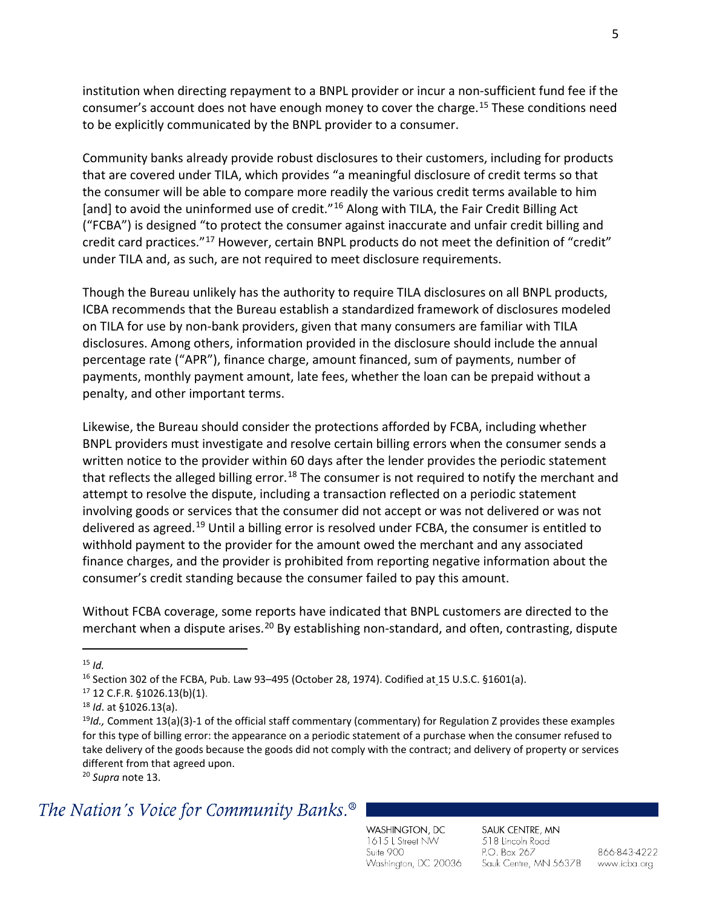institution when directing repayment to a BNPL provider or incur a non-sufficient fund fee if the consumer's account does not have enough money to cover the charge.[15](#page-4-0) These conditions need to be explicitly communicated by the BNPL provider to a consumer.

Community banks already provide robust disclosures to their customers, including for products that are covered under TILA, which provides "a meaningful disclosure of credit terms so that the consumer will be able to compare more readily the various credit terms available to him [and] to avoid the uninformed use of credit."<sup>[16](#page-4-1)</sup> Along with TILA, the Fair Credit Billing Act ("FCBA") is designed "to protect the consumer against inaccurate and unfair credit billing and credit card practices."[17](#page-4-2) However, certain BNPL products do not meet the definition of "credit" under TILA and, as such, are not required to meet disclosure requirements.

Though the Bureau unlikely has the authority to require TILA disclosures on all BNPL products, ICBA recommends that the Bureau establish a standardized framework of disclosures modeled on TILA for use by non-bank providers, given that many consumers are familiar with TILA disclosures. Among others, information provided in the disclosure should include the annual percentage rate ("APR"), finance charge, amount financed, sum of payments, number of payments, monthly payment amount, late fees, whether the loan can be prepaid without a penalty, and other important terms.

Likewise, the Bureau should consider the protections afforded by FCBA, including whether BNPL providers must investigate and resolve certain billing errors when the consumer sends a written notice to the provider within 60 days after the lender provides the periodic statement that reflects the alleged billing error.<sup>[18](#page-4-3)</sup> The consumer is not required to notify the merchant and attempt to resolve the dispute, including a transaction reflected on a periodic statement involving goods or services that the consumer did not accept or was not delivered or was not delivered as agreed.<sup>[19](#page-4-4)</sup> Until a billing error is resolved under FCBA, the consumer is entitled to withhold payment to the provider for the amount owed the merchant and any associated finance charges, and the provider is prohibited from reporting negative information about the consumer's credit standing because the consumer failed to pay this amount.

Without FCBA coverage, some reports have indicated that BNPL customers are directed to the merchant when a dispute arises.<sup>[20](#page-4-5)</sup> By establishing non-standard, and often, contrasting, dispute

<sup>20</sup> *Supra* note 13.

## <span id="page-4-5"></span>The Nation's Voice for Community Banks.<sup>®</sup>

WASHINGTON, DC 1615 L Street NW Suite 900 Washington, DC 20036

SAUK CENTRE, MN 518 Lincoln Road P.O. Box 267 Sauk Centre, MN 56378

866-843-4222 www.icba.org

<span id="page-4-0"></span> $15$  *Id.* 

<span id="page-4-1"></span><sup>&</sup>lt;sup>16</sup> Section 302 of the FCBA, Pub. Law 93-495 (October 28, 1974). Codified at [15 U.S.C. §1601\(a\).](http://uscode.house.gov/view.xhtml?req=(title%3A15%20section%3A1601%20edition%3Aprelim)%20OR%20(granuleid%3AUSC-prelim-title15-section1601)&f=treesort&edition=prelim&num=0&jumpTo=true) <sup>17</sup> 12 C.F.R. §1026.13(b)(1).

<span id="page-4-2"></span>

<span id="page-4-4"></span><span id="page-4-3"></span><sup>&</sup>lt;sup>18</sup> *Id.* at §1026.13(a).<br><sup>19</sup>*Id.,* Comment 13(a)(3)-1 of the official staff commentary (commentary) for Regulation Z provides these examples for this type of billing error: the appearance on a periodic statement of a purchase when the consumer refused to take delivery of the goods because the goods did not comply with the contract; and delivery of property or services different from that agreed upon.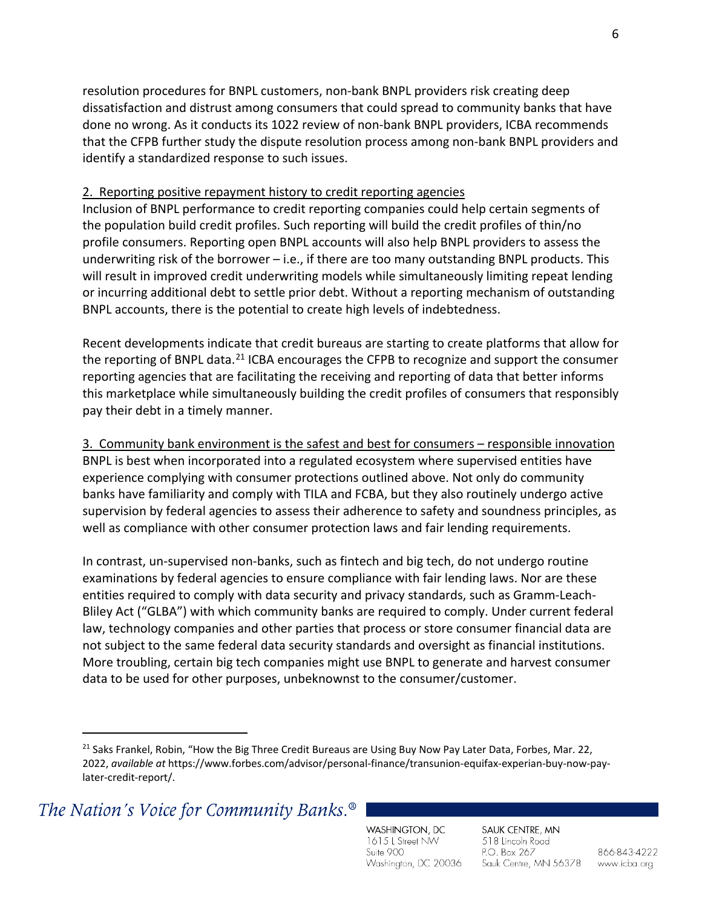resolution procedures for BNPL customers, non-bank BNPL providers risk creating deep dissatisfaction and distrust among consumers that could spread to community banks that have done no wrong. As it conducts its 1022 review of non-bank BNPL providers, ICBA recommends that the CFPB further study the dispute resolution process among non-bank BNPL providers and identify a standardized response to such issues.

## 2. Reporting positive repayment history to credit reporting agencies

Inclusion of BNPL performance to credit reporting companies could help certain segments of the population build credit profiles. Such reporting will build the credit profiles of thin/no profile consumers. Reporting open BNPL accounts will also help BNPL providers to assess the underwriting risk of the borrower  $-$  i.e., if there are too many outstanding BNPL products. This will result in improved credit underwriting models while simultaneously limiting repeat lending or incurring additional debt to settle prior debt. Without a reporting mechanism of outstanding BNPL accounts, there is the potential to create high levels of indebtedness.

Recent developments indicate that credit bureaus are starting to create platforms that allow for the reporting of BNPL data.<sup>[21](#page-5-0)</sup> ICBA encourages the CFPB to recognize and support the consumer reporting agencies that are facilitating the receiving and reporting of data that better informs this marketplace while simultaneously building the credit profiles of consumers that responsibly pay their debt in a timely manner.

## 3. Community bank environment is the safest and best for consumers – responsible innovation

BNPL is best when incorporated into a regulated ecosystem where supervised entities have experience complying with consumer protections outlined above. Not only do community banks have familiarity and comply with TILA and FCBA, but they also routinely undergo active supervision by federal agencies to assess their adherence to safety and soundness principles, as well as compliance with other consumer protection laws and fair lending requirements.

In contrast, un-supervised non-banks, such as fintech and big tech, do not undergo routine examinations by federal agencies to ensure compliance with fair lending laws. Nor are these entities required to comply with data security and privacy standards, such as Gramm-Leach-Bliley Act ("GLBA") with which community banks are required to comply. Under current federal law, technology companies and other parties that process or store consumer financial data are not subject to the same federal data security standards and oversight as financial institutions. More troubling, certain big tech companies might use BNPL to generate and harvest consumer data to be used for other purposes, unbeknownst to the consumer/customer.

<span id="page-5-0"></span>The Nation's Voice for Community Banks.<sup>®</sup>

WASHINGTON, DC 1615 L Street NW Suite 900 Washington, DC 20036

SAUK CENTRE, MN 518 Lincoln Road P.O. Box 267 Sauk Centre, MN 56378

<sup>&</sup>lt;sup>21</sup> Saks Frankel, Robin, "How the Big Three Credit Bureaus are Using Buy Now Pay Later Data, Forbes, Mar. 22, 2022, *available at* https://www.forbes.com/advisor/personal-finance/transunion-equifax-experian-buy-now-paylater-credit-report/.